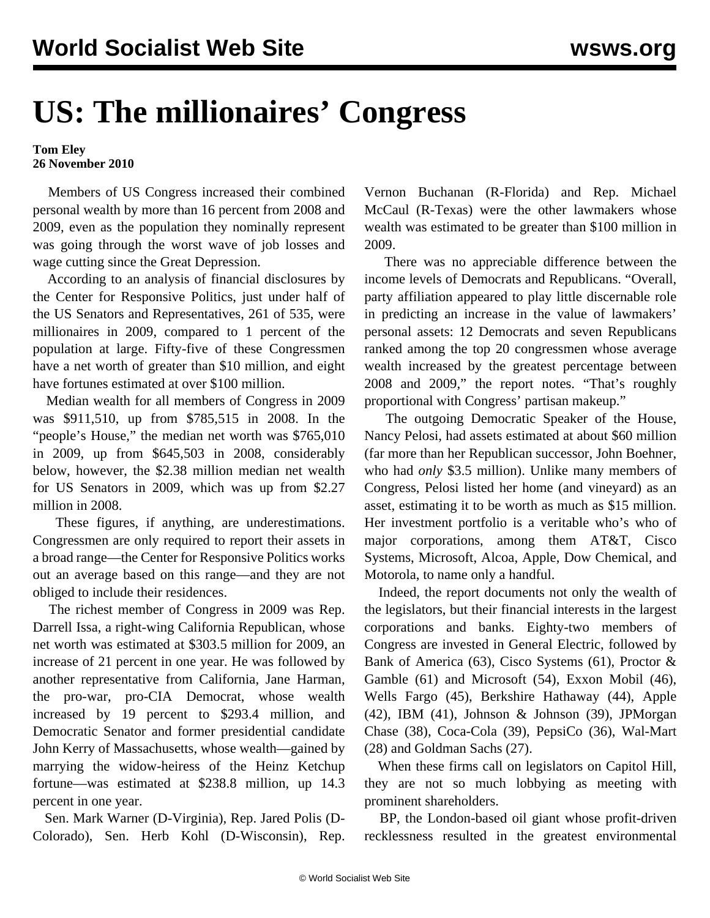## **US: The millionaires' Congress**

## **Tom Eley 26 November 2010**

 Members of US Congress increased their combined personal wealth by more than 16 percent from 2008 and 2009, even as the population they nominally represent was going through the worst wave of job losses and wage cutting since the Great Depression.

 According to an analysis of financial disclosures by the Center for Responsive Politics, just under half of the US Senators and Representatives, 261 of 535, were millionaires in 2009, compared to 1 percent of the population at large. Fifty-five of these Congressmen have a net worth of greater than \$10 million, and eight have fortunes estimated at over \$100 million.

 Median wealth for all members of Congress in 2009 was \$911,510, up from \$785,515 in 2008. In the "people's House," the median net worth was \$765,010 in 2009, up from \$645,503 in 2008, considerably below, however, the \$2.38 million median net wealth for US Senators in 2009, which was up from \$2.27 million in 2008.

 These figures, if anything, are underestimations. Congressmen are only required to report their assets in a broad range—the Center for Responsive Politics works out an average based on this range—and they are not obliged to include their residences.

 The richest member of Congress in 2009 was Rep. Darrell Issa, a right-wing California Republican, whose net worth was estimated at \$303.5 million for 2009, an increase of 21 percent in one year. He was followed by another representative from California, Jane Harman, the pro-war, pro-CIA Democrat, whose wealth increased by 19 percent to \$293.4 million, and Democratic Senator and former presidential candidate John Kerry of Massachusetts, whose wealth—gained by marrying the widow-heiress of the Heinz Ketchup fortune—was estimated at \$238.8 million, up 14.3 percent in one year.

 Sen. Mark Warner (D-Virginia), Rep. Jared Polis (D-Colorado), Sen. Herb Kohl (D-Wisconsin), Rep. Vernon Buchanan (R-Florida) and Rep. Michael McCaul (R-Texas) were the other lawmakers whose wealth was estimated to be greater than \$100 million in 2009.

 There was no appreciable difference between the income levels of Democrats and Republicans. "Overall, party affiliation appeared to play little discernable role in predicting an increase in the value of lawmakers' personal assets: 12 Democrats and seven Republicans ranked among the top 20 congressmen whose average wealth increased by the greatest percentage between 2008 and 2009," the report notes. "That's roughly proportional with Congress' partisan makeup."

 The outgoing Democratic Speaker of the House, Nancy Pelosi, had assets estimated at about \$60 million (far more than her Republican successor, John Boehner, who had *only* \$3.5 million). Unlike many members of Congress, Pelosi listed her home (and vineyard) as an asset, estimating it to be worth as much as \$15 million. Her investment portfolio is a veritable who's who of major corporations, among them AT&T, Cisco Systems, Microsoft, Alcoa, Apple, Dow Chemical, and Motorola, to name only a handful.

 Indeed, the report documents not only the wealth of the legislators, but their financial interests in the largest corporations and banks. Eighty-two members of Congress are invested in General Electric, followed by Bank of America (63), Cisco Systems (61), Proctor & Gamble (61) and Microsoft (54), Exxon Mobil (46), Wells Fargo (45), Berkshire Hathaway (44), Apple (42), IBM (41), Johnson & Johnson (39), JPMorgan Chase (38), Coca-Cola (39), PepsiCo (36), Wal-Mart (28) and Goldman Sachs (27).

 When these firms call on legislators on Capitol Hill, they are not so much lobbying as meeting with prominent shareholders.

 BP, the London-based oil giant whose profit-driven recklessness resulted in the greatest environmental